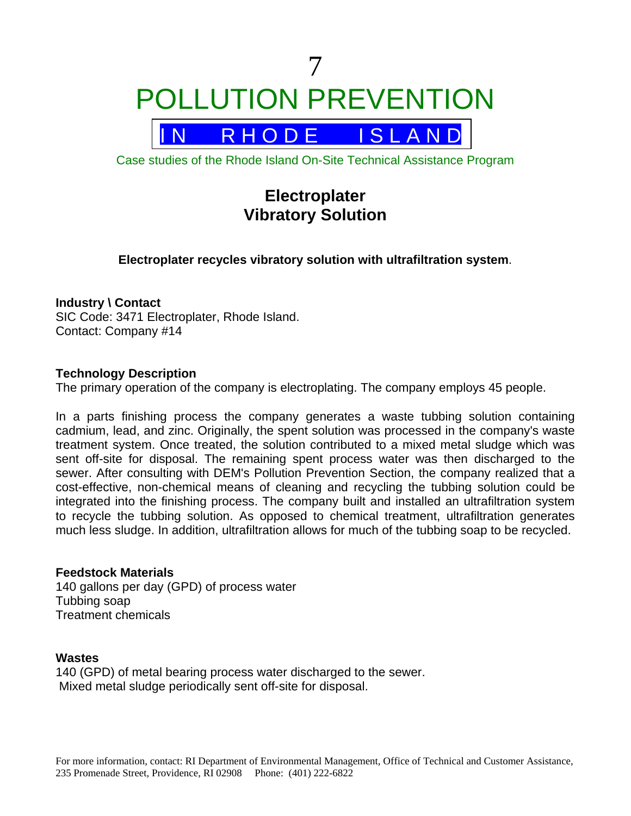

Case studies of the Rhode Island On-Site Technical Assistance Program

# **Electroplater Vibratory Solution**

**Electroplater recycles vibratory solution with ultrafiltration system**.

### **Industry \ Contact**

SIC Code: 3471 Electroplater, Rhode Island. Contact: Company #14

### **Technology Description**

The primary operation of the company is electroplating. The company employs 45 people.

In a parts finishing process the company generates a waste tubbing solution containing cadmium, lead, and zinc. Originally, the spent solution was processed in the company's waste treatment system. Once treated, the solution contributed to a mixed metal sludge which was sent off-site for disposal. The remaining spent process water was then discharged to the sewer. After consulting with DEM's Pollution Prevention Section, the company realized that a cost-effective, non-chemical means of cleaning and recycling the tubbing solution could be integrated into the finishing process. The company built and installed an ultrafiltration system to recycle the tubbing solution. As opposed to chemical treatment, ultrafiltration generates much less sludge. In addition, ultrafiltration allows for much of the tubbing soap to be recycled.

### **Feedstock Materials**

140 gallons per day (GPD) of process water Tubbing soap Treatment chemicals

### **Wastes**

140 (GPD) of metal bearing process water discharged to the sewer. Mixed metal sludge periodically sent off-site for disposal.